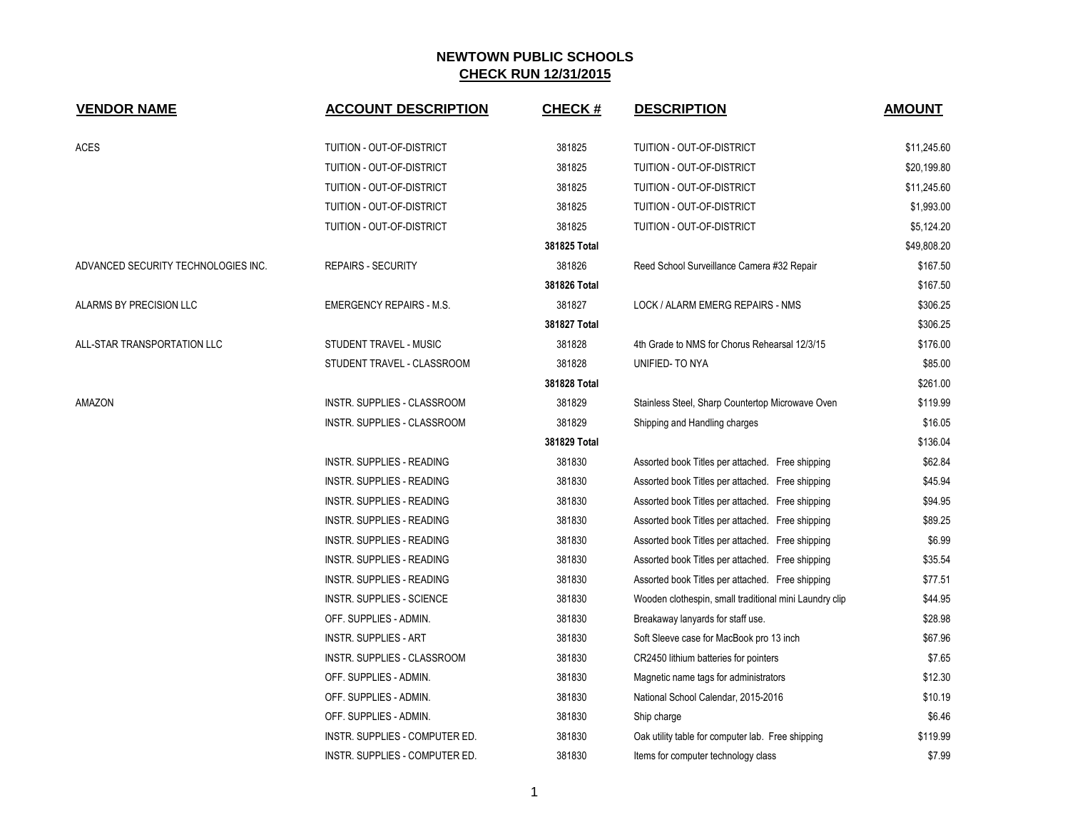| <b>VENDOR NAME</b>                  | <b>ACCOUNT DESCRIPTION</b>       | <b>CHECK#</b> | <b>DESCRIPTION</b>                                     | <b>AMOUNT</b> |
|-------------------------------------|----------------------------------|---------------|--------------------------------------------------------|---------------|
| <b>ACES</b>                         | TUITION - OUT-OF-DISTRICT        | 381825        | TUITION - OUT-OF-DISTRICT                              | \$11,245.60   |
|                                     | TUITION - OUT-OF-DISTRICT        | 381825        | TUITION - OUT-OF-DISTRICT                              | \$20,199.80   |
|                                     | TUITION - OUT-OF-DISTRICT        | 381825        | TUITION - OUT-OF-DISTRICT                              | \$11,245.60   |
|                                     | TUITION - OUT-OF-DISTRICT        | 381825        | TUITION - OUT-OF-DISTRICT                              | \$1,993.00    |
|                                     | TUITION - OUT-OF-DISTRICT        | 381825        | TUITION - OUT-OF-DISTRICT                              | \$5,124.20    |
|                                     |                                  | 381825 Total  |                                                        | \$49,808.20   |
| ADVANCED SECURITY TECHNOLOGIES INC. | <b>REPAIRS - SECURITY</b>        | 381826        | Reed School Surveillance Camera #32 Repair             | \$167.50      |
|                                     |                                  | 381826 Total  |                                                        | \$167.50      |
| ALARMS BY PRECISION LLC             | EMERGENCY REPAIRS - M.S.         | 381827        | LOCK / ALARM EMERG REPAIRS - NMS                       | \$306.25      |
|                                     |                                  | 381827 Total  |                                                        | \$306.25      |
| ALL-STAR TRANSPORTATION LLC         | STUDENT TRAVEL - MUSIC           | 381828        | 4th Grade to NMS for Chorus Rehearsal 12/3/15          | \$176.00      |
|                                     | STUDENT TRAVEL - CLASSROOM       | 381828        | UNIFIED-TO NYA                                         | \$85.00       |
|                                     |                                  | 381828 Total  |                                                        | \$261.00      |
| AMAZON                              | INSTR. SUPPLIES - CLASSROOM      | 381829        | Stainless Steel, Sharp Countertop Microwave Oven       | \$119.99      |
|                                     | INSTR. SUPPLIES - CLASSROOM      | 381829        | Shipping and Handling charges                          | \$16.05       |
|                                     |                                  | 381829 Total  |                                                        | \$136.04      |
|                                     | <b>INSTR. SUPPLIES - READING</b> | 381830        | Assorted book Titles per attached. Free shipping       | \$62.84       |
|                                     | INSTR. SUPPLIES - READING        | 381830        | Assorted book Titles per attached. Free shipping       | \$45.94       |
|                                     | INSTR. SUPPLIES - READING        | 381830        | Assorted book Titles per attached. Free shipping       | \$94.95       |
|                                     | <b>INSTR. SUPPLIES - READING</b> | 381830        | Assorted book Titles per attached. Free shipping       | \$89.25       |
|                                     | <b>INSTR. SUPPLIES - READING</b> | 381830        | Assorted book Titles per attached. Free shipping       | \$6.99        |
|                                     | INSTR. SUPPLIES - READING        | 381830        | Assorted book Titles per attached. Free shipping       | \$35.54       |
|                                     | INSTR. SUPPLIES - READING        | 381830        | Assorted book Titles per attached. Free shipping       | \$77.51       |
|                                     | INSTR. SUPPLIES - SCIENCE        | 381830        | Wooden clothespin, small traditional mini Laundry clip | \$44.95       |
|                                     | OFF. SUPPLIES - ADMIN.           | 381830        | Breakaway lanyards for staff use.                      | \$28.98       |
|                                     | <b>INSTR. SUPPLIES - ART</b>     | 381830        | Soft Sleeve case for MacBook pro 13 inch               | \$67.96       |
|                                     | INSTR. SUPPLIES - CLASSROOM      | 381830        | CR2450 lithium batteries for pointers                  | \$7.65        |
|                                     | OFF. SUPPLIES - ADMIN.           | 381830        | Magnetic name tags for administrators                  | \$12.30       |
|                                     | OFF. SUPPLIES - ADMIN.           | 381830        | National School Calendar, 2015-2016                    | \$10.19       |
|                                     | OFF. SUPPLIES - ADMIN.           | 381830        | Ship charge                                            | \$6.46        |
|                                     | INSTR. SUPPLIES - COMPUTER ED.   | 381830        | Oak utility table for computer lab. Free shipping      | \$119.99      |
|                                     | INSTR. SUPPLIES - COMPUTER ED.   | 381830        | Items for computer technology class                    | \$7.99        |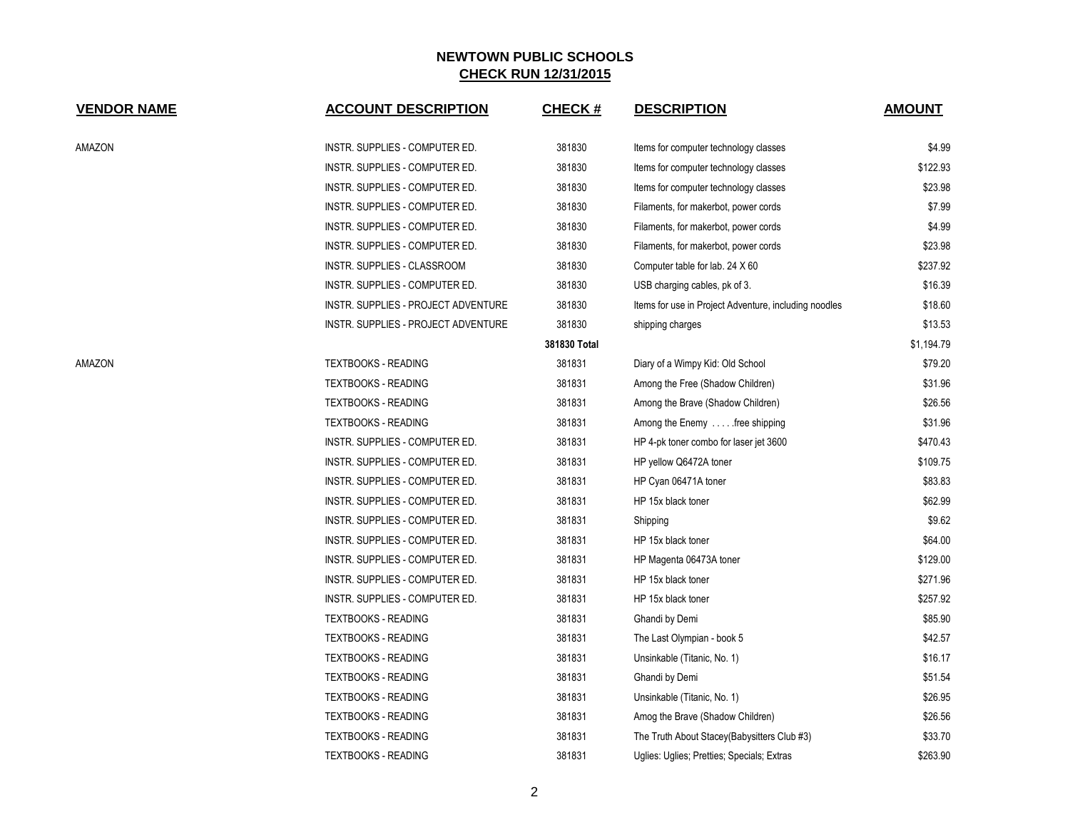| <b>VENDOR NAME</b> | <b>ACCOUNT DESCRIPTION</b>          | <b>CHECK#</b> | <b>DESCRIPTION</b>                                    | <b>AMOUNT</b> |
|--------------------|-------------------------------------|---------------|-------------------------------------------------------|---------------|
| AMAZON             | INSTR. SUPPLIES - COMPUTER ED.      | 381830        | Items for computer technology classes                 | \$4.99        |
|                    | INSTR. SUPPLIES - COMPUTER ED.      | 381830        | Items for computer technology classes                 | \$122.93      |
|                    | INSTR. SUPPLIES - COMPUTER ED.      | 381830        | Items for computer technology classes                 | \$23.98       |
|                    | INSTR. SUPPLIES - COMPUTER ED.      | 381830        | Filaments, for makerbot, power cords                  | \$7.99        |
|                    | INSTR. SUPPLIES - COMPUTER ED.      | 381830        | Filaments, for makerbot, power cords                  | \$4.99        |
|                    | INSTR. SUPPLIES - COMPUTER ED.      | 381830        | Filaments, for makerbot, power cords                  | \$23.98       |
|                    | INSTR. SUPPLIES - CLASSROOM         | 381830        | Computer table for lab. 24 X 60                       | \$237.92      |
|                    | INSTR. SUPPLIES - COMPUTER ED.      | 381830        | USB charging cables, pk of 3.                         | \$16.39       |
|                    | INSTR. SUPPLIES - PROJECT ADVENTURE | 381830        | Items for use in Project Adventure, including noodles | \$18.60       |
|                    | INSTR. SUPPLIES - PROJECT ADVENTURE | 381830        | shipping charges                                      | \$13.53       |
|                    |                                     | 381830 Total  |                                                       | \$1,194.79    |
| AMAZON             | <b>TEXTBOOKS - READING</b>          | 381831        | Diary of a Wimpy Kid: Old School                      | \$79.20       |
|                    | <b>TEXTBOOKS - READING</b>          | 381831        | Among the Free (Shadow Children)                      | \$31.96       |
|                    | <b>TEXTBOOKS - READING</b>          | 381831        | Among the Brave (Shadow Children)                     | \$26.56       |
|                    | <b>TEXTBOOKS - READING</b>          | 381831        | Among the Enemy  free shipping                        | \$31.96       |
|                    | INSTR. SUPPLIES - COMPUTER ED.      | 381831        | HP 4-pk toner combo for laser jet 3600                | \$470.43      |
|                    | INSTR. SUPPLIES - COMPUTER ED.      | 381831        | HP yellow Q6472A toner                                | \$109.75      |
|                    | INSTR. SUPPLIES - COMPUTER ED.      | 381831        | HP Cyan 06471A toner                                  | \$83.83       |
|                    | INSTR. SUPPLIES - COMPUTER ED.      | 381831        | HP 15x black toner                                    | \$62.99       |
|                    | INSTR. SUPPLIES - COMPUTER ED.      | 381831        | Shipping                                              | \$9.62        |
|                    | INSTR. SUPPLIES - COMPUTER ED.      | 381831        | HP 15x black toner                                    | \$64.00       |
|                    | INSTR. SUPPLIES - COMPUTER ED.      | 381831        | HP Magenta 06473A toner                               | \$129.00      |
|                    | INSTR. SUPPLIES - COMPUTER ED.      | 381831        | HP 15x black toner                                    | \$271.96      |
|                    | INSTR. SUPPLIES - COMPUTER ED.      | 381831        | HP 15x black toner                                    | \$257.92      |
|                    | <b>TEXTBOOKS - READING</b>          | 381831        | Ghandi by Demi                                        | \$85.90       |
|                    | <b>TEXTBOOKS - READING</b>          | 381831        | The Last Olympian - book 5                            | \$42.57       |
|                    | <b>TEXTBOOKS - READING</b>          | 381831        | Unsinkable (Titanic, No. 1)                           | \$16.17       |
|                    | <b>TEXTBOOKS - READING</b>          | 381831        | Ghandi by Demi                                        | \$51.54       |
|                    | <b>TEXTBOOKS - READING</b>          | 381831        | Unsinkable (Titanic, No. 1)                           | \$26.95       |
|                    | <b>TEXTBOOKS - READING</b>          | 381831        | Amog the Brave (Shadow Children)                      | \$26.56       |
|                    | <b>TEXTBOOKS - READING</b>          | 381831        | The Truth About Stacey(Babysitters Club #3)           | \$33.70       |
|                    | <b>TEXTBOOKS - READING</b>          | 381831        | Uglies: Uglies; Pretties; Specials; Extras            | \$263.90      |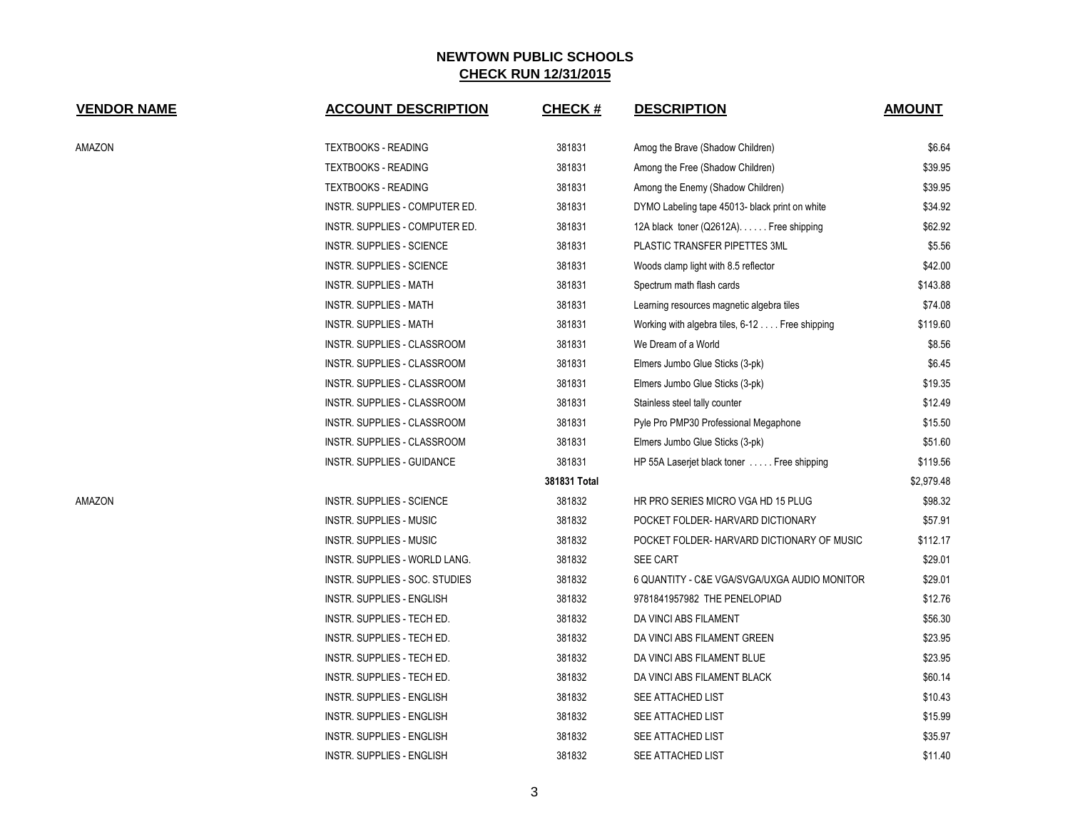| <b>VENDOR NAME</b> | <b>ACCOUNT DESCRIPTION</b>       | <b>CHECK#</b> | <b>DESCRIPTION</b>                             | <b>AMOUNT</b> |
|--------------------|----------------------------------|---------------|------------------------------------------------|---------------|
| AMAZON             | <b>TEXTBOOKS - READING</b>       | 381831        | Amog the Brave (Shadow Children)               | \$6.64        |
|                    | <b>TEXTBOOKS - READING</b>       | 381831        | Among the Free (Shadow Children)               | \$39.95       |
|                    | <b>TEXTBOOKS - READING</b>       | 381831        | Among the Enemy (Shadow Children)              | \$39.95       |
|                    | INSTR. SUPPLIES - COMPUTER ED.   | 381831        | DYMO Labeling tape 45013- black print on white | \$34.92       |
|                    | INSTR. SUPPLIES - COMPUTER ED.   | 381831        | 12A black toner (Q2612A). Free shipping        | \$62.92       |
|                    | <b>INSTR. SUPPLIES - SCIENCE</b> | 381831        | PLASTIC TRANSFER PIPETTES 3ML                  | \$5.56        |
|                    | <b>INSTR. SUPPLIES - SCIENCE</b> | 381831        | Woods clamp light with 8.5 reflector           | \$42.00       |
|                    | <b>INSTR. SUPPLIES - MATH</b>    | 381831        | Spectrum math flash cards                      | \$143.88      |
|                    | <b>INSTR. SUPPLIES - MATH</b>    | 381831        | Learning resources magnetic algebra tiles      | \$74.08       |
|                    | INSTR. SUPPLIES - MATH           | 381831        | Working with algebra tiles, 6-12 Free shipping | \$119.60      |
|                    | INSTR. SUPPLIES - CLASSROOM      | 381831        | We Dream of a World                            | \$8.56        |
|                    | INSTR. SUPPLIES - CLASSROOM      | 381831        | Elmers Jumbo Glue Sticks (3-pk)                | \$6.45        |
|                    | INSTR. SUPPLIES - CLASSROOM      | 381831        | Elmers Jumbo Glue Sticks (3-pk)                | \$19.35       |
|                    | INSTR. SUPPLIES - CLASSROOM      | 381831        | Stainless steel tally counter                  | \$12.49       |
|                    | INSTR. SUPPLIES - CLASSROOM      | 381831        | Pyle Pro PMP30 Professional Megaphone          | \$15.50       |
|                    | INSTR. SUPPLIES - CLASSROOM      | 381831        | Elmers Jumbo Glue Sticks (3-pk)                | \$51.60       |
|                    | INSTR. SUPPLIES - GUIDANCE       | 381831        | HP 55A Laserjet black toner Free shipping      | \$119.56      |
|                    |                                  | 381831 Total  |                                                | \$2,979.48    |
| AMAZON             | INSTR. SUPPLIES - SCIENCE        | 381832        | HR PRO SERIES MICRO VGA HD 15 PLUG             | \$98.32       |
|                    | <b>INSTR. SUPPLIES - MUSIC</b>   | 381832        | POCKET FOLDER- HARVARD DICTIONARY              | \$57.91       |
|                    | <b>INSTR. SUPPLIES - MUSIC</b>   | 381832        | POCKET FOLDER-HARVARD DICTIONARY OF MUSIC      | \$112.17      |
|                    | INSTR. SUPPLIES - WORLD LANG.    | 381832        | <b>SEE CART</b>                                | \$29.01       |
|                    | INSTR. SUPPLIES - SOC. STUDIES   | 381832        | 6 QUANTITY - C&E VGA/SVGA/UXGA AUDIO MONITOR   | \$29.01       |
|                    | <b>INSTR. SUPPLIES - ENGLISH</b> | 381832        | 9781841957982 THE PENELOPIAD                   | \$12.76       |
|                    | INSTR. SUPPLIES - TECH ED.       | 381832        | DA VINCI ABS FILAMENT                          | \$56.30       |
|                    | INSTR. SUPPLIES - TECH ED.       | 381832        | DA VINCI ABS FILAMENT GREEN                    | \$23.95       |
|                    | INSTR. SUPPLIES - TECH ED.       | 381832        | DA VINCI ABS FILAMENT BLUE                     | \$23.95       |
|                    | INSTR. SUPPLIES - TECH ED.       | 381832        | DA VINCI ABS FILAMENT BLACK                    | \$60.14       |
|                    | <b>INSTR. SUPPLIES - ENGLISH</b> | 381832        | SEE ATTACHED LIST                              | \$10.43       |
|                    | INSTR. SUPPLIES - ENGLISH        | 381832        | SEE ATTACHED LIST                              | \$15.99       |
|                    | INSTR. SUPPLIES - ENGLISH        | 381832        | <b>SEE ATTACHED LIST</b>                       | \$35.97       |
|                    | INSTR. SUPPLIES - ENGLISH        | 381832        | <b>SEE ATTACHED LIST</b>                       | \$11.40       |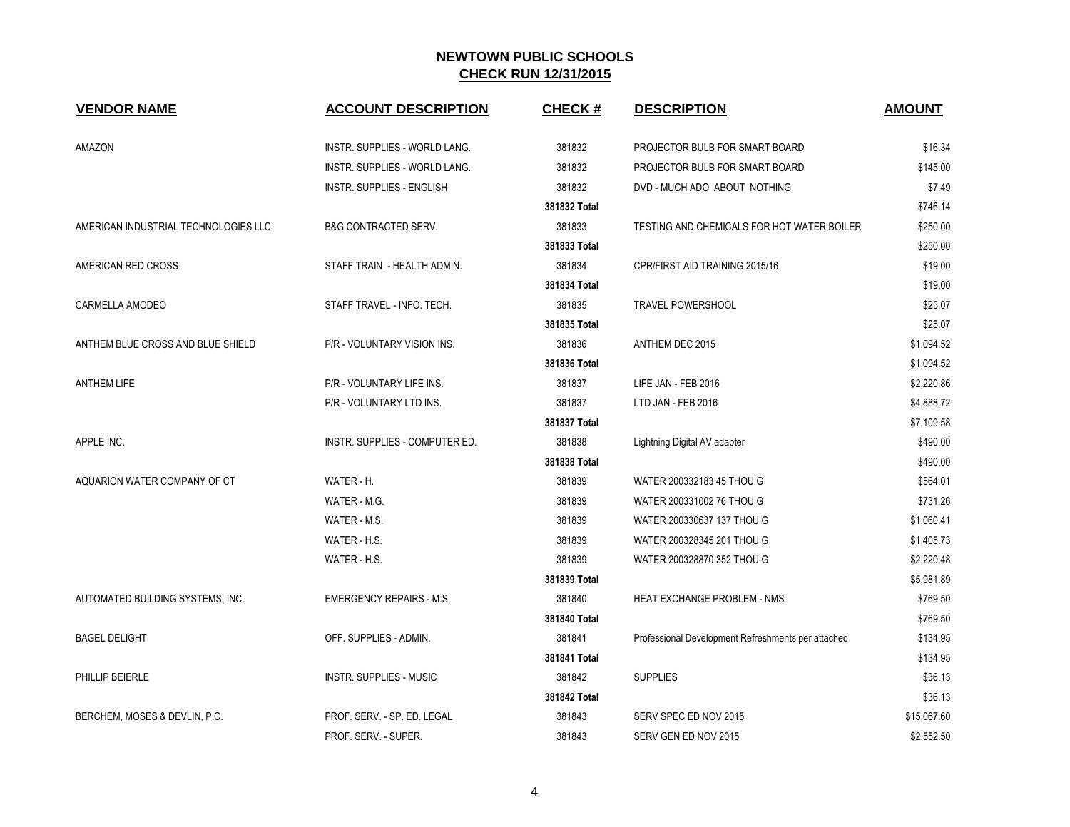| <b>VENDOR NAME</b>                   | <b>ACCOUNT DESCRIPTION</b>       | <b>CHECK#</b> | <b>DESCRIPTION</b>                                 | <b>AMOUNT</b> |
|--------------------------------------|----------------------------------|---------------|----------------------------------------------------|---------------|
| AMAZON                               | INSTR. SUPPLIES - WORLD LANG.    | 381832        | PROJECTOR BULB FOR SMART BOARD                     | \$16.34       |
|                                      | INSTR. SUPPLIES - WORLD LANG.    | 381832        | PROJECTOR BULB FOR SMART BOARD                     | \$145.00      |
|                                      | <b>INSTR. SUPPLIES - ENGLISH</b> | 381832        | DVD - MUCH ADO ABOUT NOTHING                       | \$7.49        |
|                                      |                                  | 381832 Total  |                                                    | \$746.14      |
| AMERICAN INDUSTRIAL TECHNOLOGIES LLC | <b>B&amp;G CONTRACTED SERV.</b>  | 381833        | TESTING AND CHEMICALS FOR HOT WATER BOILER         | \$250.00      |
|                                      |                                  | 381833 Total  |                                                    | \$250.00      |
| AMERICAN RED CROSS                   | STAFF TRAIN. - HEALTH ADMIN.     | 381834        | CPR/FIRST AID TRAINING 2015/16                     | \$19.00       |
|                                      |                                  | 381834 Total  |                                                    | \$19.00       |
| CARMELLA AMODEO                      | STAFF TRAVEL - INFO. TECH.       | 381835        | <b>TRAVEL POWERSHOOL</b>                           | \$25.07       |
|                                      |                                  | 381835 Total  |                                                    | \$25.07       |
| ANTHEM BLUE CROSS AND BLUE SHIELD    | P/R - VOLUNTARY VISION INS.      | 381836        | ANTHEM DEC 2015                                    | \$1,094.52    |
|                                      |                                  | 381836 Total  |                                                    | \$1,094.52    |
| <b>ANTHEM LIFE</b>                   | P/R - VOLUNTARY LIFE INS.        | 381837        | LIFE JAN - FEB 2016                                | \$2,220.86    |
|                                      | P/R - VOLUNTARY LTD INS.         | 381837        | LTD JAN - FEB 2016                                 | \$4,888.72    |
|                                      |                                  | 381837 Total  |                                                    | \$7,109.58    |
| APPLE INC.                           | INSTR. SUPPLIES - COMPUTER ED.   | 381838        | Lightning Digital AV adapter                       | \$490.00      |
|                                      |                                  | 381838 Total  |                                                    | \$490.00      |
| AQUARION WATER COMPANY OF CT         | WATER - H.                       | 381839        | WATER 200332183 45 THOU G                          | \$564.01      |
|                                      | WATER - M.G.                     | 381839        | WATER 200331002 76 THOU G                          | \$731.26      |
|                                      | WATER - M.S.                     | 381839        | WATER 200330637 137 THOU G                         | \$1,060.41    |
|                                      | WATER - H.S.                     | 381839        | WATER 200328345 201 THOU G                         | \$1,405.73    |
|                                      | WATER - H.S.                     | 381839        | WATER 200328870 352 THOU G                         | \$2,220.48    |
|                                      |                                  | 381839 Total  |                                                    | \$5,981.89    |
| AUTOMATED BUILDING SYSTEMS, INC.     | <b>EMERGENCY REPAIRS - M.S.</b>  | 381840        | HEAT EXCHANGE PROBLEM - NMS                        | \$769.50      |
|                                      |                                  | 381840 Total  |                                                    | \$769.50      |
| <b>BAGEL DELIGHT</b>                 | OFF. SUPPLIES - ADMIN.           | 381841        | Professional Development Refreshments per attached | \$134.95      |
|                                      |                                  | 381841 Total  |                                                    | \$134.95      |
| PHILLIP BEIERLE                      | INSTR. SUPPLIES - MUSIC          | 381842        | <b>SUPPLIES</b>                                    | \$36.13       |
|                                      |                                  | 381842 Total  |                                                    | \$36.13       |
| BERCHEM, MOSES & DEVLIN, P.C.        | PROF. SERV. - SP. ED. LEGAL      | 381843        | SERV SPEC ED NOV 2015                              | \$15,067.60   |
|                                      | PROF. SERV. - SUPER.             | 381843        | SERV GEN ED NOV 2015                               | \$2,552.50    |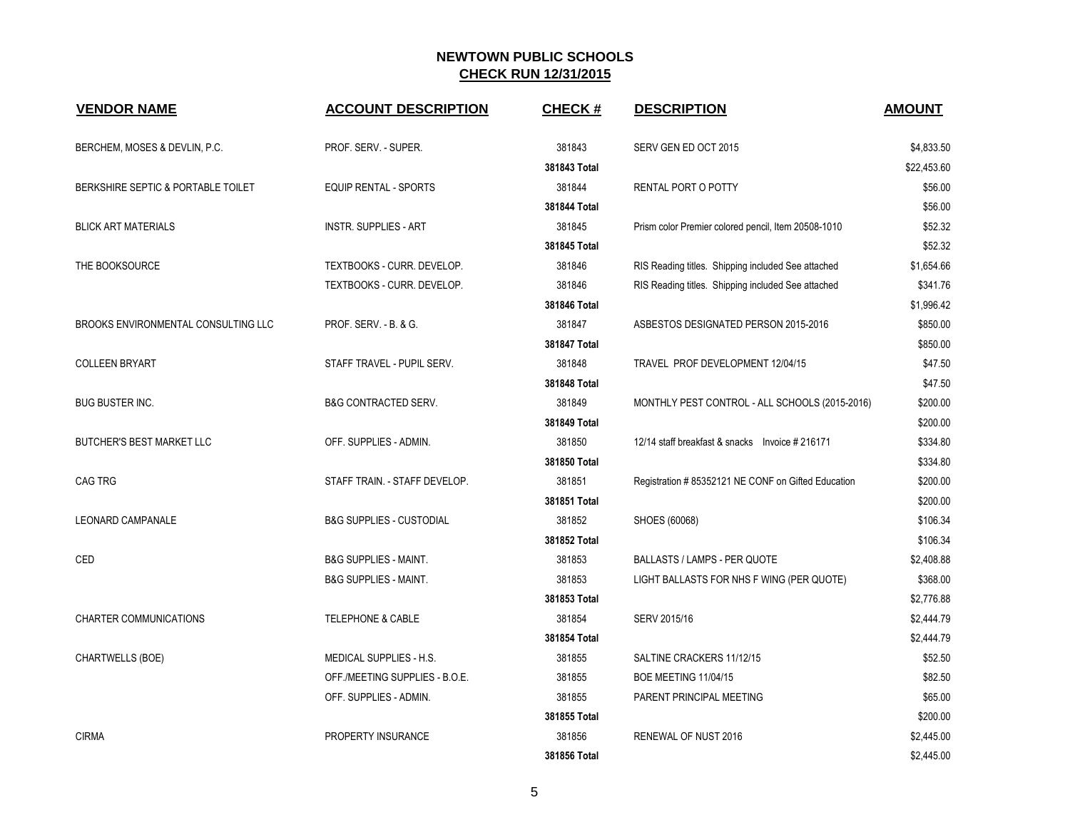| <b>VENDOR NAME</b>                         | <b>ACCOUNT DESCRIPTION</b>          | <b>CHECK#</b> | <b>DESCRIPTION</b>                                  | <b>AMOUNT</b> |
|--------------------------------------------|-------------------------------------|---------------|-----------------------------------------------------|---------------|
| BERCHEM, MOSES & DEVLIN, P.C.              | PROF. SERV. - SUPER.                | 381843        | SERV GEN ED OCT 2015                                | \$4,833.50    |
|                                            |                                     | 381843 Total  |                                                     | \$22,453.60   |
| BERKSHIRE SEPTIC & PORTABLE TOILET         | <b>EQUIP RENTAL - SPORTS</b>        | 381844        | RENTAL PORT O POTTY                                 | \$56.00       |
|                                            |                                     | 381844 Total  |                                                     | \$56.00       |
| <b>BLICK ART MATERIALS</b>                 | <b>INSTR. SUPPLIES - ART</b>        | 381845        | Prism color Premier colored pencil, Item 20508-1010 | \$52.32       |
|                                            |                                     | 381845 Total  |                                                     | \$52.32       |
| THE BOOKSOURCE                             | TEXTBOOKS - CURR. DEVELOP.          | 381846        | RIS Reading titles. Shipping included See attached  | \$1,654.66    |
|                                            | TEXTBOOKS - CURR. DEVELOP.          | 381846        | RIS Reading titles. Shipping included See attached  | \$341.76      |
|                                            |                                     | 381846 Total  |                                                     | \$1,996.42    |
| <b>BROOKS ENVIRONMENTAL CONSULTING LLC</b> | PROF. SERV. - B. & G.               | 381847        | ASBESTOS DESIGNATED PERSON 2015-2016                | \$850.00      |
|                                            |                                     | 381847 Total  |                                                     | \$850.00      |
| <b>COLLEEN BRYART</b>                      | STAFF TRAVEL - PUPIL SERV.          | 381848        | TRAVEL PROF DEVELOPMENT 12/04/15                    | \$47.50       |
|                                            |                                     | 381848 Total  |                                                     | \$47.50       |
| <b>BUG BUSTER INC.</b>                     | <b>B&amp;G CONTRACTED SERV.</b>     | 381849        | MONTHLY PEST CONTROL - ALL SCHOOLS (2015-2016)      | \$200.00      |
|                                            |                                     | 381849 Total  |                                                     | \$200.00      |
| <b>BUTCHER'S BEST MARKET LLC</b>           | OFF. SUPPLIES - ADMIN.              | 381850        | 12/14 staff breakfast & snacks Invoice #216171      | \$334.80      |
|                                            |                                     | 381850 Total  |                                                     | \$334.80      |
| <b>CAG TRG</b>                             | STAFF TRAIN. - STAFF DEVELOP.       | 381851        | Registration # 85352121 NE CONF on Gifted Education | \$200.00      |
|                                            |                                     | 381851 Total  |                                                     | \$200.00      |
| <b>LEONARD CAMPANALE</b>                   | <b>B&amp;G SUPPLIES - CUSTODIAL</b> | 381852        | SHOES (60068)                                       | \$106.34      |
|                                            |                                     | 381852 Total  |                                                     | \$106.34      |
| CED                                        | <b>B&amp;G SUPPLIES - MAINT.</b>    | 381853        | <b>BALLASTS / LAMPS - PER QUOTE</b>                 | \$2,408.88    |
|                                            | <b>B&amp;G SUPPLIES - MAINT.</b>    | 381853        | LIGHT BALLASTS FOR NHS F WING (PER QUOTE)           | \$368.00      |
|                                            |                                     | 381853 Total  |                                                     | \$2,776.88    |
| <b>CHARTER COMMUNICATIONS</b>              | <b>TELEPHONE &amp; CABLE</b>        | 381854        | SERV 2015/16                                        | \$2,444.79    |
|                                            |                                     | 381854 Total  |                                                     | \$2,444.79    |
| CHARTWELLS (BOE)                           | MEDICAL SUPPLIES - H.S.             | 381855        | SALTINE CRACKERS 11/12/15                           | \$52.50       |
|                                            | OFF./MEETING SUPPLIES - B.O.E.      | 381855        | <b>BOE MEETING 11/04/15</b>                         | \$82.50       |
|                                            | OFF. SUPPLIES - ADMIN.              | 381855        | PARENT PRINCIPAL MEETING                            | \$65.00       |
|                                            |                                     | 381855 Total  |                                                     | \$200.00      |
| <b>CIRMA</b>                               | PROPERTY INSURANCE                  | 381856        | RENEWAL OF NUST 2016                                | \$2,445.00    |
|                                            |                                     | 381856 Total  |                                                     | \$2,445.00    |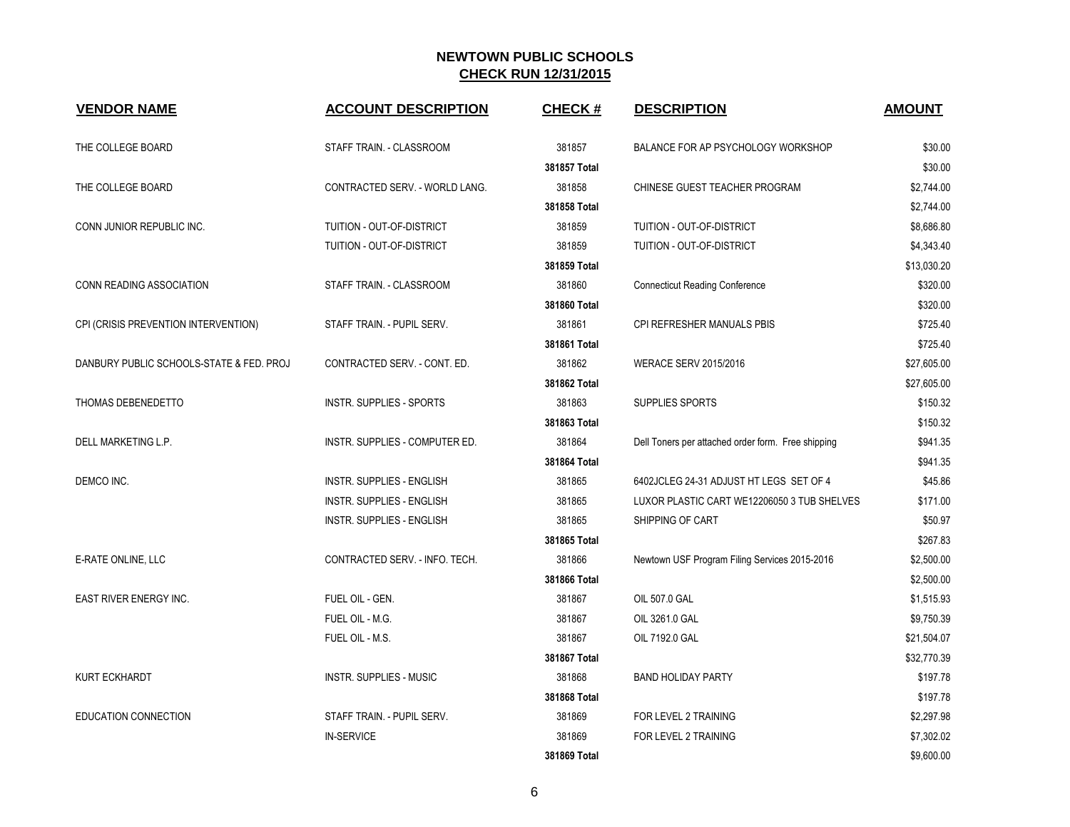| <b>VENDOR NAME</b>                       | <b>ACCOUNT DESCRIPTION</b>       | <b>CHECK#</b> | <b>DESCRIPTION</b>                                 | <b>AMOUNT</b> |
|------------------------------------------|----------------------------------|---------------|----------------------------------------------------|---------------|
| THE COLLEGE BOARD                        | STAFF TRAIN. - CLASSROOM         | 381857        | BALANCE FOR AP PSYCHOLOGY WORKSHOP                 | \$30.00       |
|                                          |                                  | 381857 Total  |                                                    | \$30.00       |
| THE COLLEGE BOARD                        | CONTRACTED SERV. - WORLD LANG.   | 381858        | CHINESE GUEST TEACHER PROGRAM                      | \$2,744.00    |
|                                          |                                  | 381858 Total  |                                                    | \$2,744.00    |
| CONN JUNIOR REPUBLIC INC.                | TUITION - OUT-OF-DISTRICT        | 381859        | TUITION - OUT-OF-DISTRICT                          | \$8,686.80    |
|                                          | TUITION - OUT-OF-DISTRICT        | 381859        | TUITION - OUT-OF-DISTRICT                          | \$4,343.40    |
|                                          |                                  | 381859 Total  |                                                    | \$13,030.20   |
| CONN READING ASSOCIATION                 | STAFF TRAIN. - CLASSROOM         | 381860        | <b>Connecticut Reading Conference</b>              | \$320.00      |
|                                          |                                  | 381860 Total  |                                                    | \$320.00      |
| CPI (CRISIS PREVENTION INTERVENTION)     | STAFF TRAIN. - PUPIL SERV.       | 381861        | CPI REFRESHER MANUALS PBIS                         | \$725.40      |
|                                          |                                  | 381861 Total  |                                                    | \$725.40      |
| DANBURY PUBLIC SCHOOLS-STATE & FED. PROJ | CONTRACTED SERV. - CONT. ED.     | 381862        | <b>WERACE SERV 2015/2016</b>                       | \$27,605.00   |
|                                          |                                  | 381862 Total  |                                                    | \$27,605.00   |
| THOMAS DEBENEDETTO                       | <b>INSTR. SUPPLIES - SPORTS</b>  | 381863        | SUPPLIES SPORTS                                    | \$150.32      |
|                                          |                                  | 381863 Total  |                                                    | \$150.32      |
| DELL MARKETING L.P.                      | INSTR. SUPPLIES - COMPUTER ED.   | 381864        | Dell Toners per attached order form. Free shipping | \$941.35      |
|                                          |                                  | 381864 Total  |                                                    | \$941.35      |
| DEMCO INC.                               | INSTR. SUPPLIES - ENGLISH        | 381865        | 6402JCLEG 24-31 ADJUST HT LEGS SET OF 4            | \$45.86       |
|                                          | <b>INSTR. SUPPLIES - ENGLISH</b> | 381865        | LUXOR PLASTIC CART WE12206050 3 TUB SHELVES        | \$171.00      |
|                                          | INSTR. SUPPLIES - ENGLISH        | 381865        | SHIPPING OF CART                                   | \$50.97       |
|                                          |                                  | 381865 Total  |                                                    | \$267.83      |
| E-RATE ONLINE, LLC                       | CONTRACTED SERV. - INFO. TECH.   | 381866        | Newtown USF Program Filing Services 2015-2016      | \$2,500.00    |
|                                          |                                  | 381866 Total  |                                                    | \$2,500.00    |
| <b>EAST RIVER ENERGY INC.</b>            | FUEL OIL - GEN.                  | 381867        | OIL 507.0 GAL                                      | \$1,515.93    |
|                                          | FUEL OIL - M.G.                  | 381867        | OIL 3261.0 GAL                                     | \$9,750.39    |
|                                          | FUEL OIL - M.S.                  | 381867        | OIL 7192.0 GAL                                     | \$21,504.07   |
|                                          |                                  | 381867 Total  |                                                    | \$32,770.39   |
| <b>KURT ECKHARDT</b>                     | <b>INSTR. SUPPLIES - MUSIC</b>   | 381868        | <b>BAND HOLIDAY PARTY</b>                          | \$197.78      |
|                                          |                                  | 381868 Total  |                                                    | \$197.78      |
| EDUCATION CONNECTION                     | STAFF TRAIN. - PUPIL SERV.       | 381869        | FOR LEVEL 2 TRAINING                               | \$2,297.98    |
|                                          | <b>IN-SERVICE</b>                | 381869        | FOR LEVEL 2 TRAINING                               | \$7,302.02    |
|                                          |                                  | 381869 Total  |                                                    | \$9,600.00    |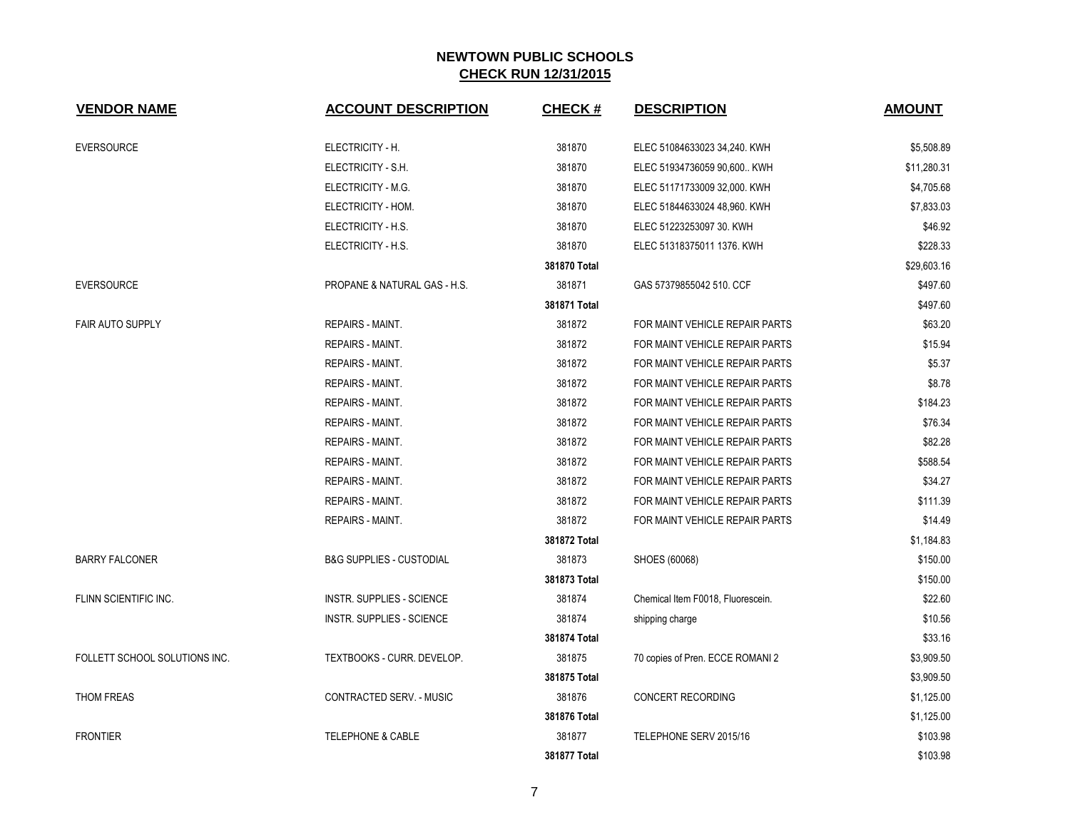| <b>VENDOR NAME</b>            | <b>ACCOUNT DESCRIPTION</b>          | CHECK #      | <b>DESCRIPTION</b>                | <b>AMOUNT</b> |
|-------------------------------|-------------------------------------|--------------|-----------------------------------|---------------|
| <b>EVERSOURCE</b>             | ELECTRICITY - H.                    | 381870       | ELEC 51084633023 34,240. KWH      | \$5,508.89    |
|                               | ELECTRICITY - S.H.                  | 381870       | ELEC 51934736059 90,600 KWH       | \$11,280.31   |
|                               | ELECTRICITY - M.G.                  | 381870       | ELEC 51171733009 32,000. KWH      | \$4,705.68    |
|                               | ELECTRICITY - HOM.                  | 381870       | ELEC 51844633024 48,960. KWH      | \$7,833.03    |
|                               | ELECTRICITY - H.S.                  | 381870       | ELEC 51223253097 30. KWH          | \$46.92       |
|                               | ELECTRICITY - H.S.                  | 381870       | ELEC 51318375011 1376. KWH        | \$228.33      |
|                               |                                     | 381870 Total |                                   | \$29,603.16   |
| <b>EVERSOURCE</b>             | PROPANE & NATURAL GAS - H.S.        | 381871       | GAS 57379855042 510. CCF          | \$497.60      |
|                               |                                     | 381871 Total |                                   | \$497.60      |
| <b>FAIR AUTO SUPPLY</b>       | <b>REPAIRS - MAINT.</b>             | 381872       | FOR MAINT VEHICLE REPAIR PARTS    | \$63.20       |
|                               | REPAIRS - MAINT.                    | 381872       | FOR MAINT VEHICLE REPAIR PARTS    | \$15.94       |
|                               | REPAIRS - MAINT.                    | 381872       | FOR MAINT VEHICLE REPAIR PARTS    | \$5.37        |
|                               | <b>REPAIRS - MAINT.</b>             | 381872       | FOR MAINT VEHICLE REPAIR PARTS    | \$8.78        |
|                               | REPAIRS - MAINT.                    | 381872       | FOR MAINT VEHICLE REPAIR PARTS    | \$184.23      |
|                               | <b>REPAIRS - MAINT.</b>             | 381872       | FOR MAINT VEHICLE REPAIR PARTS    | \$76.34       |
|                               | REPAIRS - MAINT.                    | 381872       | FOR MAINT VEHICLE REPAIR PARTS    | \$82.28       |
|                               | REPAIRS - MAINT.                    | 381872       | FOR MAINT VEHICLE REPAIR PARTS    | \$588.54      |
|                               | REPAIRS - MAINT.                    | 381872       | FOR MAINT VEHICLE REPAIR PARTS    | \$34.27       |
|                               | <b>REPAIRS - MAINT.</b>             | 381872       | FOR MAINT VEHICLE REPAIR PARTS    | \$111.39      |
|                               | REPAIRS - MAINT.                    | 381872       | FOR MAINT VEHICLE REPAIR PARTS    | \$14.49       |
|                               |                                     | 381872 Total |                                   | \$1,184.83    |
| <b>BARRY FALCONER</b>         | <b>B&amp;G SUPPLIES - CUSTODIAL</b> | 381873       | SHOES (60068)                     | \$150.00      |
|                               |                                     | 381873 Total |                                   | \$150.00      |
| FLINN SCIENTIFIC INC.         | <b>INSTR. SUPPLIES - SCIENCE</b>    | 381874       | Chemical Item F0018, Fluorescein. | \$22.60       |
|                               | INSTR. SUPPLIES - SCIENCE           | 381874       | shipping charge                   | \$10.56       |
|                               |                                     | 381874 Total |                                   | \$33.16       |
| FOLLETT SCHOOL SOLUTIONS INC. | TEXTBOOKS - CURR. DEVELOP.          | 381875       | 70 copies of Pren. ECCE ROMANI 2  | \$3,909.50    |
|                               |                                     | 381875 Total |                                   | \$3,909.50    |
| THOM FREAS                    | CONTRACTED SERV. - MUSIC            | 381876       | CONCERT RECORDING                 | \$1,125.00    |
|                               |                                     | 381876 Total |                                   | \$1,125.00    |
| <b>FRONTIER</b>               | <b>TELEPHONE &amp; CABLE</b>        | 381877       | TELEPHONE SERV 2015/16            | \$103.98      |
|                               |                                     | 381877 Total |                                   | \$103.98      |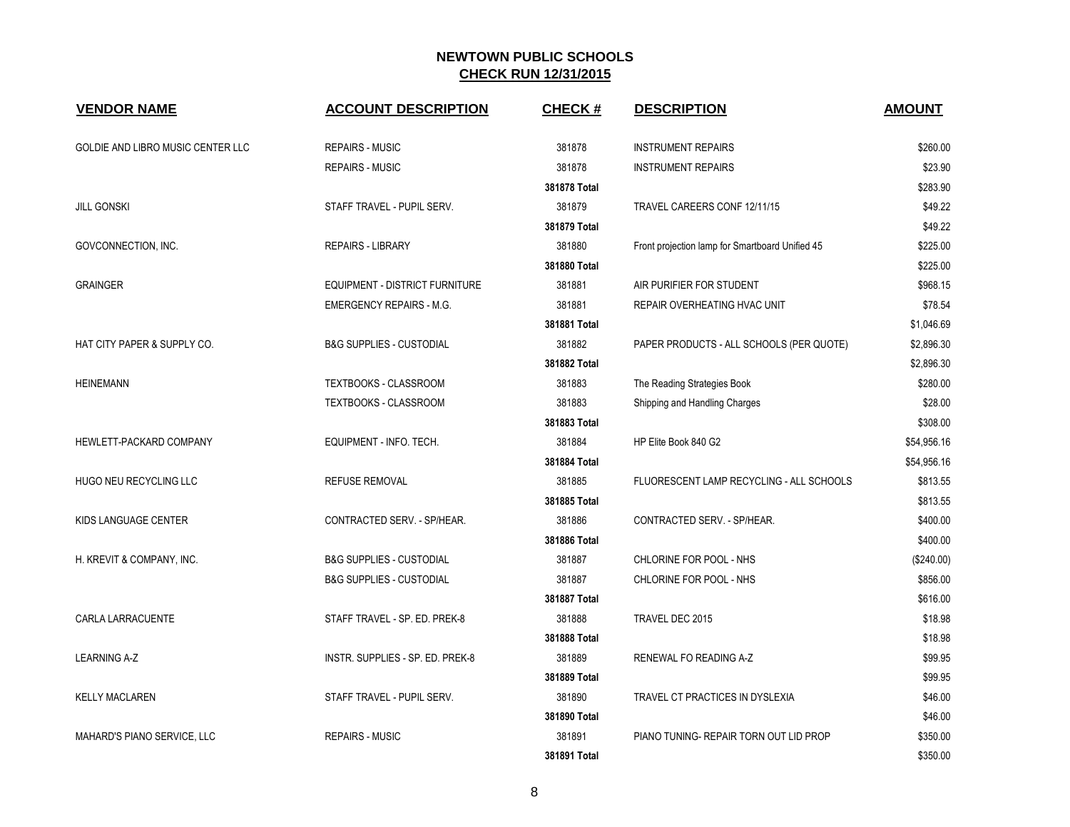| <b>VENDOR NAME</b>                | <b>ACCOUNT DESCRIPTION</b>            | <b>CHECK#</b> | <b>DESCRIPTION</b>                              | <b>AMOUNT</b> |
|-----------------------------------|---------------------------------------|---------------|-------------------------------------------------|---------------|
| GOLDIE AND LIBRO MUSIC CENTER LLC | <b>REPAIRS - MUSIC</b>                | 381878        | <b>INSTRUMENT REPAIRS</b>                       | \$260.00      |
|                                   | <b>REPAIRS - MUSIC</b>                | 381878        | <b>INSTRUMENT REPAIRS</b>                       | \$23.90       |
|                                   |                                       | 381878 Total  |                                                 | \$283.90      |
| <b>JILL GONSKI</b>                | STAFF TRAVEL - PUPIL SERV.            | 381879        | TRAVEL CAREERS CONF 12/11/15                    | \$49.22       |
|                                   |                                       | 381879 Total  |                                                 | \$49.22       |
| GOVCONNECTION, INC.               | <b>REPAIRS - LIBRARY</b>              | 381880        | Front projection lamp for Smartboard Unified 45 | \$225.00      |
|                                   |                                       | 381880 Total  |                                                 | \$225.00      |
| <b>GRAINGER</b>                   | <b>EQUIPMENT - DISTRICT FURNITURE</b> | 381881        | AIR PURIFIER FOR STUDENT                        | \$968.15      |
|                                   | <b>EMERGENCY REPAIRS - M.G.</b>       | 381881        | REPAIR OVERHEATING HVAC UNIT                    | \$78.54       |
|                                   |                                       | 381881 Total  |                                                 | \$1,046.69    |
| HAT CITY PAPER & SUPPLY CO.       | <b>B&amp;G SUPPLIES - CUSTODIAL</b>   | 381882        | PAPER PRODUCTS - ALL SCHOOLS (PER QUOTE)        | \$2,896.30    |
|                                   |                                       | 381882 Total  |                                                 | \$2,896.30    |
| <b>HEINEMANN</b>                  | TEXTBOOKS - CLASSROOM                 | 381883        | The Reading Strategies Book                     | \$280.00      |
|                                   | <b>TEXTBOOKS - CLASSROOM</b>          | 381883        | Shipping and Handling Charges                   | \$28.00       |
|                                   |                                       | 381883 Total  |                                                 | \$308.00      |
| HEWLETT-PACKARD COMPANY           | EQUIPMENT - INFO. TECH.               | 381884        | HP Elite Book 840 G2                            | \$54,956.16   |
|                                   |                                       | 381884 Total  |                                                 | \$54,956.16   |
| HUGO NEU RECYCLING LLC            | <b>REFUSE REMOVAL</b>                 | 381885        | FLUORESCENT LAMP RECYCLING - ALL SCHOOLS        | \$813.55      |
|                                   |                                       | 381885 Total  |                                                 | \$813.55      |
| KIDS LANGUAGE CENTER              | CONTRACTED SERV. - SP/HEAR.           | 381886        | CONTRACTED SERV. - SP/HEAR.                     | \$400.00      |
|                                   |                                       | 381886 Total  |                                                 | \$400.00      |
| H. KREVIT & COMPANY, INC.         | <b>B&amp;G SUPPLIES - CUSTODIAL</b>   | 381887        | CHLORINE FOR POOL - NHS                         | (\$240.00)    |
|                                   | <b>B&amp;G SUPPLIES - CUSTODIAL</b>   | 381887        | CHLORINE FOR POOL - NHS                         | \$856.00      |
|                                   |                                       | 381887 Total  |                                                 | \$616.00      |
| CARLA LARRACUENTE                 | STAFF TRAVEL - SP. ED. PREK-8         | 381888        | TRAVEL DEC 2015                                 | \$18.98       |
|                                   |                                       | 381888 Total  |                                                 | \$18.98       |
| <b>LEARNING A-Z</b>               | INSTR. SUPPLIES - SP. ED. PREK-8      | 381889        | RENEWAL FO READING A-Z                          | \$99.95       |
|                                   |                                       | 381889 Total  |                                                 | \$99.95       |
| <b>KELLY MACLAREN</b>             | STAFF TRAVEL - PUPIL SERV.            | 381890        | TRAVEL CT PRACTICES IN DYSLEXIA                 | \$46.00       |
|                                   |                                       | 381890 Total  |                                                 | \$46.00       |
| MAHARD'S PIANO SERVICE, LLC       | <b>REPAIRS - MUSIC</b>                | 381891        | PIANO TUNING- REPAIR TORN OUT LID PROP          | \$350.00      |
|                                   |                                       | 381891 Total  |                                                 | \$350.00      |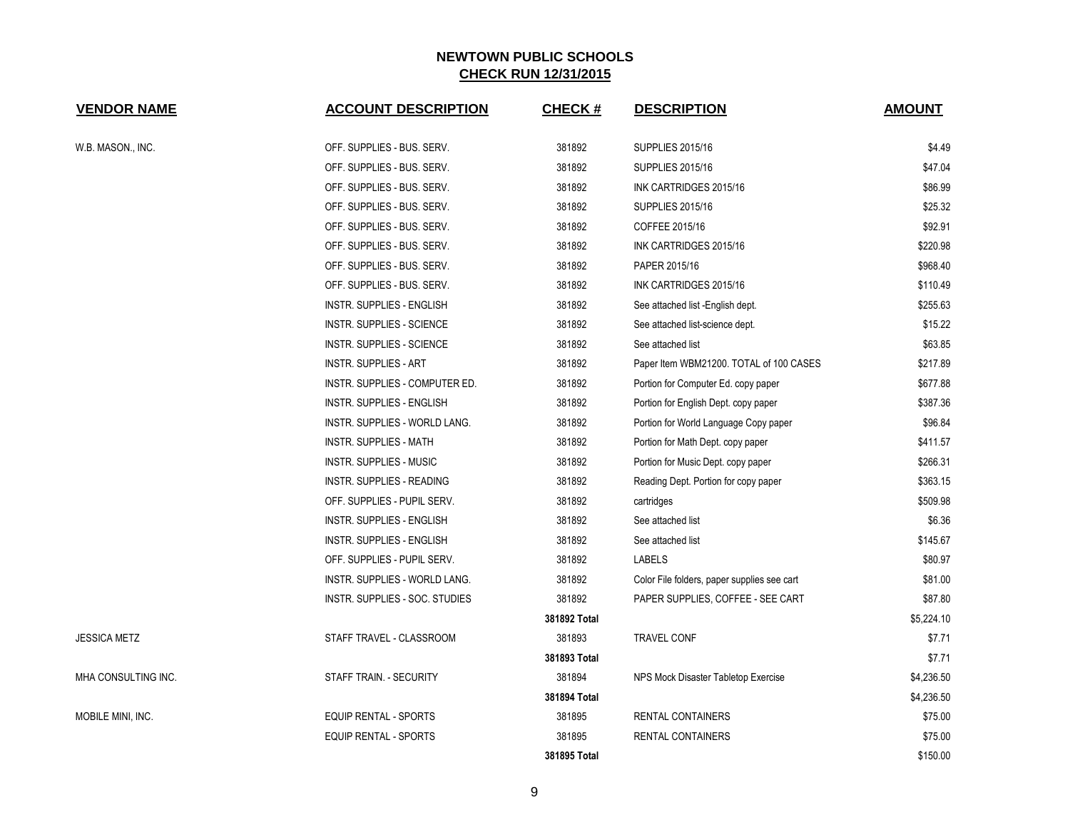| <b>VENDOR NAME</b>  | <b>ACCOUNT DESCRIPTION</b>           | <b>CHECK#</b> | <b>DESCRIPTION</b>                          | <b>AMOUNT</b> |
|---------------------|--------------------------------------|---------------|---------------------------------------------|---------------|
| W.B. MASON., INC.   | OFF. SUPPLIES - BUS. SERV.           | 381892        | <b>SUPPLIES 2015/16</b>                     | \$4.49        |
|                     | OFF. SUPPLIES - BUS. SERV.           | 381892        | <b>SUPPLIES 2015/16</b>                     | \$47.04       |
|                     | OFF. SUPPLIES - BUS. SERV.           | 381892        | INK CARTRIDGES 2015/16                      | \$86.99       |
|                     | OFF. SUPPLIES - BUS. SERV.           | 381892        | <b>SUPPLIES 2015/16</b>                     | \$25.32       |
|                     | OFF. SUPPLIES - BUS. SERV.           | 381892        | COFFEE 2015/16                              | \$92.91       |
|                     | OFF. SUPPLIES - BUS. SERV.           | 381892        | INK CARTRIDGES 2015/16                      | \$220.98      |
|                     | OFF. SUPPLIES - BUS. SERV.           | 381892        | PAPER 2015/16                               | \$968.40      |
|                     | OFF. SUPPLIES - BUS. SERV.           | 381892        | INK CARTRIDGES 2015/16                      | \$110.49      |
|                     | INSTR. SUPPLIES - ENGLISH            | 381892        | See attached list -English dept.            | \$255.63      |
|                     | <b>INSTR. SUPPLIES - SCIENCE</b>     | 381892        | See attached list-science dept.             | \$15.22       |
|                     | INSTR. SUPPLIES - SCIENCE            | 381892        | See attached list                           | \$63.85       |
|                     | <b>INSTR. SUPPLIES - ART</b>         | 381892        | Paper Item WBM21200. TOTAL of 100 CASES     | \$217.89      |
|                     | INSTR. SUPPLIES - COMPUTER ED.       | 381892        | Portion for Computer Ed. copy paper         | \$677.88      |
|                     | <b>INSTR. SUPPLIES - ENGLISH</b>     | 381892        | Portion for English Dept. copy paper        | \$387.36      |
|                     | <b>INSTR. SUPPLIES - WORLD LANG.</b> | 381892        | Portion for World Language Copy paper       | \$96.84       |
|                     | <b>INSTR. SUPPLIES - MATH</b>        | 381892        | Portion for Math Dept. copy paper           | \$411.57      |
|                     | <b>INSTR. SUPPLIES - MUSIC</b>       | 381892        | Portion for Music Dept. copy paper          | \$266.31      |
|                     | INSTR. SUPPLIES - READING            | 381892        | Reading Dept. Portion for copy paper        | \$363.15      |
|                     | OFF. SUPPLIES - PUPIL SERV.          | 381892        | cartridges                                  | \$509.98      |
|                     | INSTR. SUPPLIES - ENGLISH            | 381892        | See attached list                           | \$6.36        |
|                     | INSTR. SUPPLIES - ENGLISH            | 381892        | See attached list                           | \$145.67      |
|                     | OFF. SUPPLIES - PUPIL SERV.          | 381892        | <b>LABELS</b>                               | \$80.97       |
|                     | INSTR. SUPPLIES - WORLD LANG.        | 381892        | Color File folders, paper supplies see cart | \$81.00       |
|                     | INSTR. SUPPLIES - SOC. STUDIES       | 381892        | PAPER SUPPLIES, COFFEE - SEE CART           | \$87.80       |
|                     |                                      | 381892 Total  |                                             | \$5,224.10    |
| <b>JESSICA METZ</b> | STAFF TRAVEL - CLASSROOM             | 381893        | <b>TRAVEL CONF</b>                          | \$7.71        |
|                     |                                      | 381893 Total  |                                             | \$7.71        |
| MHA CONSULTING INC. | STAFF TRAIN. - SECURITY              | 381894        | NPS Mock Disaster Tabletop Exercise         | \$4,236.50    |
|                     |                                      | 381894 Total  |                                             | \$4,236.50    |
| MOBILE MINI, INC.   | <b>EQUIP RENTAL - SPORTS</b>         | 381895        | <b>RENTAL CONTAINERS</b>                    | \$75.00       |
|                     | EQUIP RENTAL - SPORTS                | 381895        | <b>RENTAL CONTAINERS</b>                    | \$75.00       |
|                     |                                      | 381895 Total  |                                             | \$150.00      |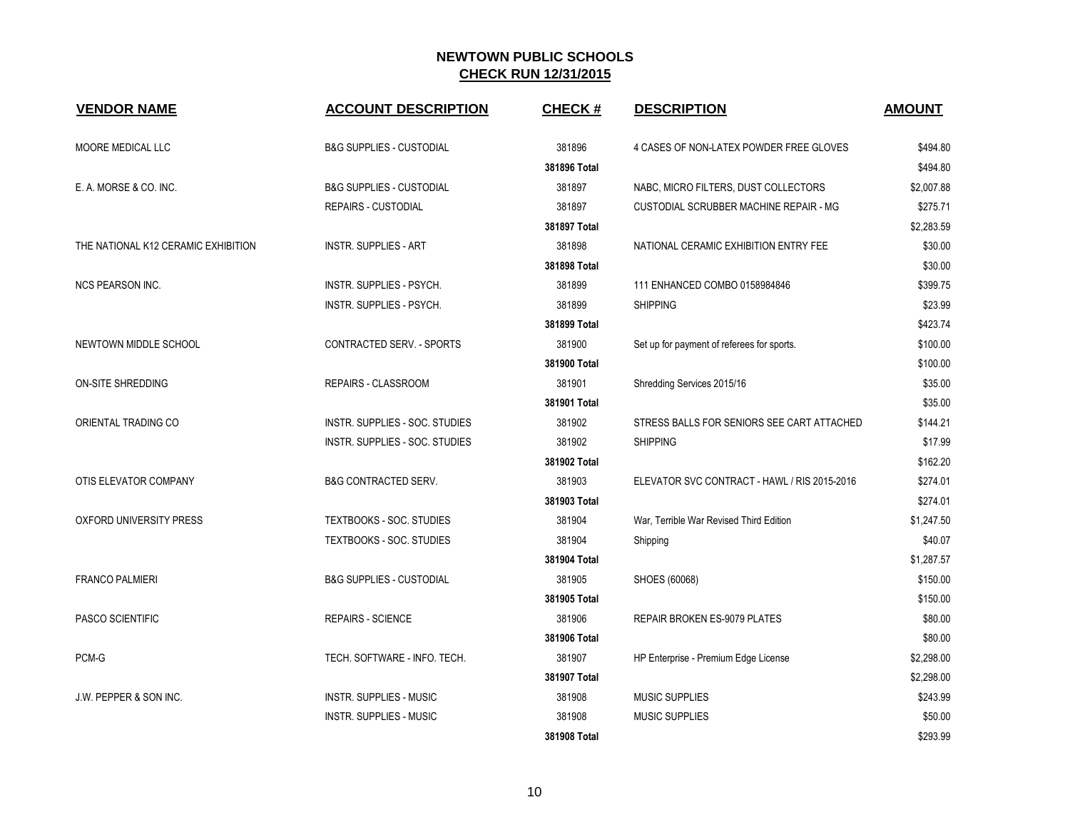| <b>VENDOR NAME</b>                  | <b>ACCOUNT DESCRIPTION</b>          | <b>CHECK#</b> | <b>DESCRIPTION</b>                           | <b>AMOUNT</b> |
|-------------------------------------|-------------------------------------|---------------|----------------------------------------------|---------------|
| MOORE MEDICAL LLC                   | <b>B&amp;G SUPPLIES - CUSTODIAL</b> | 381896        | 4 CASES OF NON-LATEX POWDER FREE GLOVES      | \$494.80      |
|                                     |                                     | 381896 Total  |                                              | \$494.80      |
| E. A. MORSE & CO. INC.              | <b>B&amp;G SUPPLIES - CUSTODIAL</b> | 381897        | NABC, MICRO FILTERS, DUST COLLECTORS         | \$2,007.88    |
|                                     | <b>REPAIRS - CUSTODIAL</b>          | 381897        | CUSTODIAL SCRUBBER MACHINE REPAIR - MG       | \$275.71      |
|                                     |                                     | 381897 Total  |                                              | \$2,283.59    |
| THE NATIONAL K12 CERAMIC EXHIBITION | <b>INSTR. SUPPLIES - ART</b>        | 381898        | NATIONAL CERAMIC EXHIBITION ENTRY FEE        | \$30.00       |
|                                     |                                     | 381898 Total  |                                              | \$30.00       |
| <b>NCS PEARSON INC.</b>             | INSTR. SUPPLIES - PSYCH.            | 381899        | 111 ENHANCED COMBO 0158984846                | \$399.75      |
|                                     | INSTR. SUPPLIES - PSYCH.            | 381899        | <b>SHIPPING</b>                              | \$23.99       |
|                                     |                                     | 381899 Total  |                                              | \$423.74      |
| NEWTOWN MIDDLE SCHOOL               | CONTRACTED SERV. - SPORTS           | 381900        | Set up for payment of referees for sports.   | \$100.00      |
|                                     |                                     | 381900 Total  |                                              | \$100.00      |
| ON-SITE SHREDDING                   | REPAIRS - CLASSROOM                 | 381901        | Shredding Services 2015/16                   | \$35.00       |
|                                     |                                     | 381901 Total  |                                              | \$35.00       |
| ORIENTAL TRADING CO                 | INSTR. SUPPLIES - SOC. STUDIES      | 381902        | STRESS BALLS FOR SENIORS SEE CART ATTACHED   | \$144.21      |
|                                     | INSTR. SUPPLIES - SOC. STUDIES      | 381902        | <b>SHIPPING</b>                              | \$17.99       |
|                                     |                                     | 381902 Total  |                                              | \$162.20      |
| OTIS ELEVATOR COMPANY               | <b>B&amp;G CONTRACTED SERV.</b>     | 381903        | ELEVATOR SVC CONTRACT - HAWL / RIS 2015-2016 | \$274.01      |
|                                     |                                     | 381903 Total  |                                              | \$274.01      |
| OXFORD UNIVERSITY PRESS             | <b>TEXTBOOKS - SOC. STUDIES</b>     | 381904        | War, Terrible War Revised Third Edition      | \$1,247.50    |
|                                     | TEXTBOOKS - SOC. STUDIES            | 381904        | Shipping                                     | \$40.07       |
|                                     |                                     | 381904 Total  |                                              | \$1,287.57    |
| <b>FRANCO PALMIERI</b>              | <b>B&amp;G SUPPLIES - CUSTODIAL</b> | 381905        | SHOES (60068)                                | \$150.00      |
|                                     |                                     | 381905 Total  |                                              | \$150.00      |
| PASCO SCIENTIFIC                    | <b>REPAIRS - SCIENCE</b>            | 381906        | <b>REPAIR BROKEN ES-9079 PLATES</b>          | \$80.00       |
|                                     |                                     | 381906 Total  |                                              | \$80.00       |
| PCM-G                               | TECH. SOFTWARE - INFO. TECH.        | 381907        | HP Enterprise - Premium Edge License         | \$2,298.00    |
|                                     |                                     | 381907 Total  |                                              | \$2,298.00    |
| J.W. PEPPER & SON INC.              | <b>INSTR. SUPPLIES - MUSIC</b>      | 381908        | <b>MUSIC SUPPLIES</b>                        | \$243.99      |
|                                     | <b>INSTR. SUPPLIES - MUSIC</b>      | 381908        | <b>MUSIC SUPPLIES</b>                        | \$50.00       |
|                                     |                                     | 381908 Total  |                                              | \$293.99      |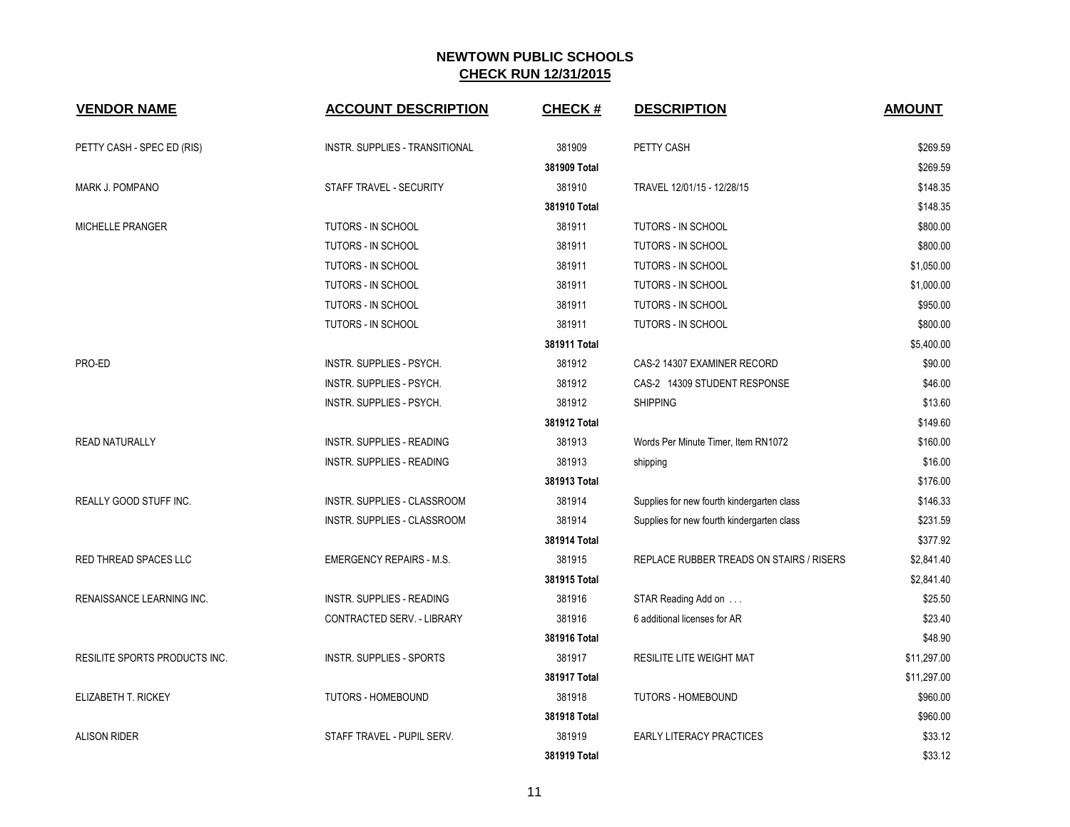| <b>VENDOR NAME</b>            | <b>ACCOUNT DESCRIPTION</b>            | <b>CHECK#</b> | <b>DESCRIPTION</b>                         | <b>AMOUNT</b> |
|-------------------------------|---------------------------------------|---------------|--------------------------------------------|---------------|
| PETTY CASH - SPEC ED (RIS)    | <b>INSTR. SUPPLIES - TRANSITIONAL</b> | 381909        | PETTY CASH                                 | \$269.59      |
|                               |                                       | 381909 Total  |                                            | \$269.59      |
| MARK J. POMPANO               | STAFF TRAVEL - SECURITY               | 381910        | TRAVEL 12/01/15 - 12/28/15                 | \$148.35      |
|                               |                                       | 381910 Total  |                                            | \$148.35      |
| MICHELLE PRANGER              | TUTORS - IN SCHOOL                    | 381911        | TUTORS - IN SCHOOL                         | \$800.00      |
|                               | TUTORS - IN SCHOOL                    | 381911        | TUTORS - IN SCHOOL                         | \$800.00      |
|                               | TUTORS - IN SCHOOL                    | 381911        | TUTORS - IN SCHOOL                         | \$1,050.00    |
|                               | TUTORS - IN SCHOOL                    | 381911        | TUTORS - IN SCHOOL                         | \$1,000.00    |
|                               | TUTORS - IN SCHOOL                    | 381911        | TUTORS - IN SCHOOL                         | \$950.00      |
|                               | TUTORS - IN SCHOOL                    | 381911        | TUTORS - IN SCHOOL                         | \$800.00      |
|                               |                                       | 381911 Total  |                                            | \$5,400.00    |
| PRO-ED                        | INSTR. SUPPLIES - PSYCH.              | 381912        | CAS-2 14307 EXAMINER RECORD                | \$90.00       |
|                               | INSTR. SUPPLIES - PSYCH.              | 381912        | CAS-2 14309 STUDENT RESPONSE               | \$46.00       |
|                               | INSTR. SUPPLIES - PSYCH.              | 381912        | <b>SHIPPING</b>                            | \$13.60       |
|                               |                                       | 381912 Total  |                                            | \$149.60      |
| <b>READ NATURALLY</b>         | INSTR. SUPPLIES - READING             | 381913        | Words Per Minute Timer, Item RN1072        | \$160.00      |
|                               | INSTR. SUPPLIES - READING             | 381913        | shipping                                   | \$16.00       |
|                               |                                       | 381913 Total  |                                            | \$176.00      |
| REALLY GOOD STUFF INC.        | INSTR. SUPPLIES - CLASSROOM           | 381914        | Supplies for new fourth kindergarten class | \$146.33      |
|                               | INSTR. SUPPLIES - CLASSROOM           | 381914        | Supplies for new fourth kindergarten class | \$231.59      |
|                               |                                       | 381914 Total  |                                            | \$377.92      |
| RED THREAD SPACES LLC         | <b>EMERGENCY REPAIRS - M.S.</b>       | 381915        | REPLACE RUBBER TREADS ON STAIRS / RISERS   | \$2,841.40    |
|                               |                                       | 381915 Total  |                                            | \$2,841.40    |
| RENAISSANCE LEARNING INC.     | INSTR. SUPPLIES - READING             | 381916        | STAR Reading Add on                        | \$25.50       |
|                               | CONTRACTED SERV. - LIBRARY            | 381916        | 6 additional licenses for AR               | \$23.40       |
|                               |                                       | 381916 Total  |                                            | \$48.90       |
| RESILITE SPORTS PRODUCTS INC. | <b>INSTR. SUPPLIES - SPORTS</b>       | 381917        | <b>RESILITE LITE WEIGHT MAT</b>            | \$11,297.00   |
|                               |                                       | 381917 Total  |                                            | \$11,297.00   |
| ELIZABETH T. RICKEY           | TUTORS - HOMEBOUND                    | 381918        | <b>TUTORS - HOMEBOUND</b>                  | \$960.00      |
|                               |                                       | 381918 Total  |                                            | \$960.00      |
| <b>ALISON RIDER</b>           | STAFF TRAVEL - PUPIL SERV.            | 381919        | <b>EARLY LITERACY PRACTICES</b>            | \$33.12       |
|                               |                                       | 381919 Total  |                                            | \$33.12       |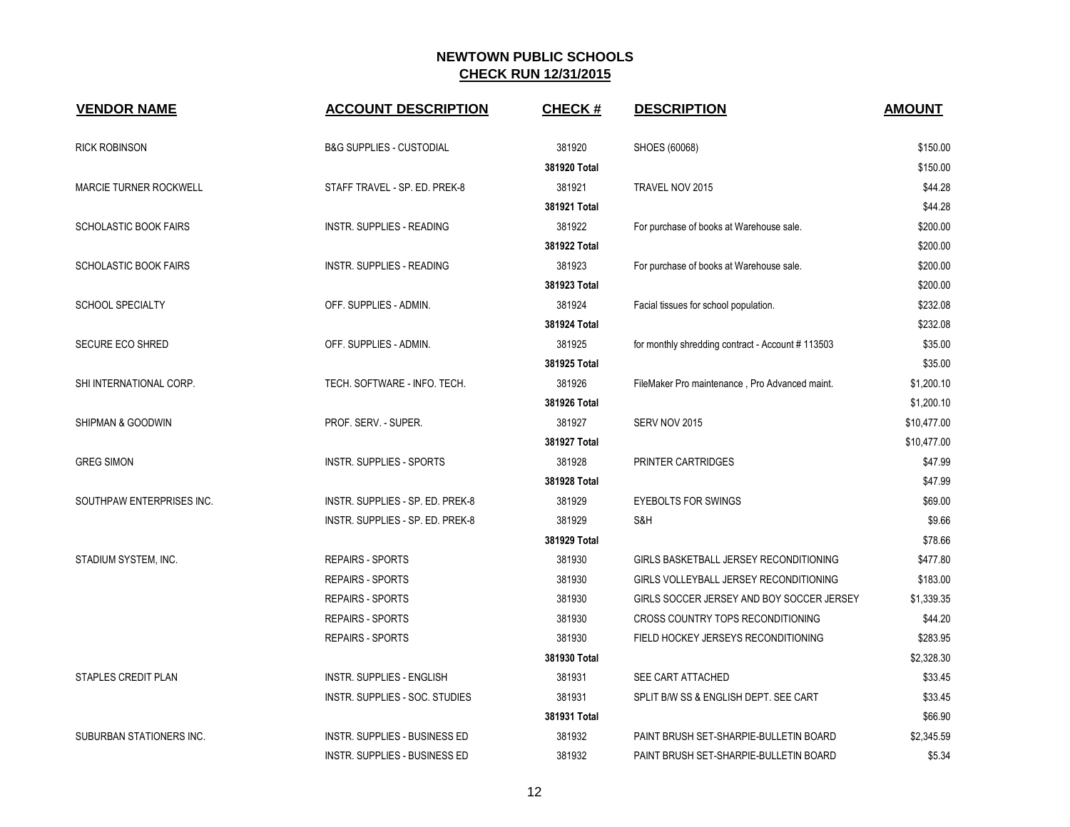| <b>VENDOR NAME</b>            | <b>ACCOUNT DESCRIPTION</b>           | <b>CHECK#</b> | <b>DESCRIPTION</b>                                | <b>AMOUNT</b> |
|-------------------------------|--------------------------------------|---------------|---------------------------------------------------|---------------|
| <b>RICK ROBINSON</b>          | <b>B&amp;G SUPPLIES - CUSTODIAL</b>  | 381920        | SHOES (60068)                                     | \$150.00      |
|                               |                                      | 381920 Total  |                                                   | \$150.00      |
| <b>MARCIE TURNER ROCKWELL</b> | STAFF TRAVEL - SP. ED. PREK-8        | 381921        | TRAVEL NOV 2015                                   | \$44.28       |
|                               |                                      | 381921 Total  |                                                   | \$44.28       |
| <b>SCHOLASTIC BOOK FAIRS</b>  | <b>INSTR. SUPPLIES - READING</b>     | 381922        | For purchase of books at Warehouse sale.          | \$200.00      |
|                               |                                      | 381922 Total  |                                                   | \$200.00      |
| <b>SCHOLASTIC BOOK FAIRS</b>  | INSTR. SUPPLIES - READING            | 381923        | For purchase of books at Warehouse sale.          | \$200.00      |
|                               |                                      | 381923 Total  |                                                   | \$200.00      |
| <b>SCHOOL SPECIALTY</b>       | OFF. SUPPLIES - ADMIN.               | 381924        | Facial tissues for school population.             | \$232.08      |
|                               |                                      | 381924 Total  |                                                   | \$232.08      |
| <b>SECURE ECO SHRED</b>       | OFF. SUPPLIES - ADMIN.               | 381925        | for monthly shredding contract - Account # 113503 | \$35.00       |
|                               |                                      | 381925 Total  |                                                   | \$35.00       |
| SHI INTERNATIONAL CORP.       | TECH. SOFTWARE - INFO. TECH.         | 381926        | FileMaker Pro maintenance, Pro Advanced maint.    | \$1,200.10    |
|                               |                                      | 381926 Total  |                                                   | \$1,200.10    |
| SHIPMAN & GOODWIN             | PROF. SERV. - SUPER.                 | 381927        | SERV NOV 2015                                     | \$10,477.00   |
|                               |                                      | 381927 Total  |                                                   | \$10,477.00   |
| <b>GREG SIMON</b>             | <b>INSTR. SUPPLIES - SPORTS</b>      | 381928        | PRINTER CARTRIDGES                                | \$47.99       |
|                               |                                      | 381928 Total  |                                                   | \$47.99       |
| SOUTHPAW ENTERPRISES INC.     | INSTR. SUPPLIES - SP. ED. PREK-8     | 381929        | <b>EYEBOLTS FOR SWINGS</b>                        | \$69.00       |
|                               | INSTR. SUPPLIES - SP. ED. PREK-8     | 381929        | S&H                                               | \$9.66        |
|                               |                                      | 381929 Total  |                                                   | \$78.66       |
| STADIUM SYSTEM, INC.          | <b>REPAIRS - SPORTS</b>              | 381930        | GIRLS BASKETBALL JERSEY RECONDITIONING            | \$477.80      |
|                               | <b>REPAIRS - SPORTS</b>              | 381930        | GIRLS VOLLEYBALL JERSEY RECONDITIONING            | \$183.00      |
|                               | <b>REPAIRS - SPORTS</b>              | 381930        | GIRLS SOCCER JERSEY AND BOY SOCCER JERSEY         | \$1,339.35    |
|                               | <b>REPAIRS - SPORTS</b>              | 381930        | CROSS COUNTRY TOPS RECONDITIONING                 | \$44.20       |
|                               | <b>REPAIRS - SPORTS</b>              | 381930        | FIELD HOCKEY JERSEYS RECONDITIONING               | \$283.95      |
|                               |                                      | 381930 Total  |                                                   | \$2,328.30    |
| STAPLES CREDIT PLAN           | <b>INSTR. SUPPLIES - ENGLISH</b>     | 381931        | SEE CART ATTACHED                                 | \$33.45       |
|                               | INSTR. SUPPLIES - SOC. STUDIES       | 381931        | SPLIT B/W SS & ENGLISH DEPT. SEE CART             | \$33.45       |
|                               |                                      | 381931 Total  |                                                   | \$66.90       |
| SUBURBAN STATIONERS INC.      | <b>INSTR. SUPPLIES - BUSINESS ED</b> | 381932        | PAINT BRUSH SET-SHARPIE-BULLETIN BOARD            | \$2,345.59    |
|                               | INSTR. SUPPLIES - BUSINESS ED        | 381932        | PAINT BRUSH SET-SHARPIE-BULLETIN BOARD            | \$5.34        |